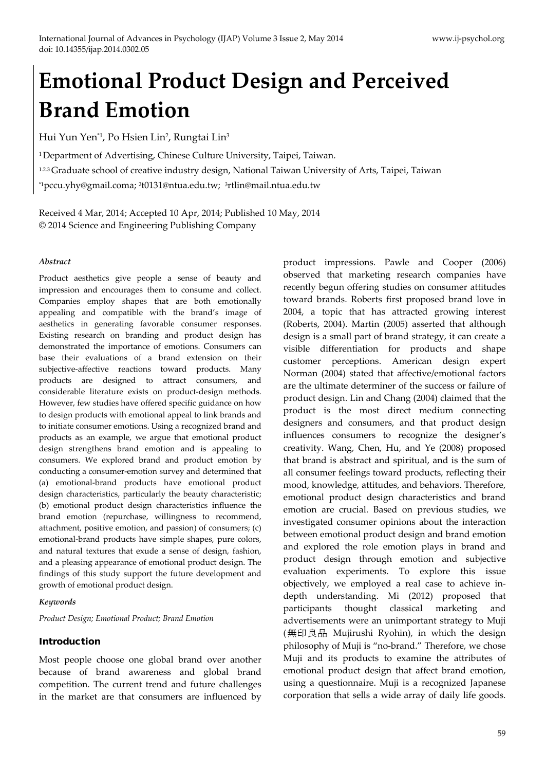# **Emotional Product Design and Perceived Brand Emotion**

Hui Yun Yen<sup>\*1</sup>, Po Hsien Lin<sup>2</sup>, Rungtai Lin<sup>3</sup>

<sup>1</sup> Department of Advertising, Chinese Culture University, Taipei, Taiwan.

1.2.3Graduate school of creative industry design, National Taiwan University of Arts, Taipei, Taiwan

\*1pccu.yhy@gmail.coma; 2t0131@ntua.edu.tw; 3rtlin@mail.ntua.edu.tw

Received 4 Mar, 2014; Accepted 10 Apr, 2014; Published 10 May, 2014 © 2014 Science and Engineering Publishing Company

#### *Abstract*

Product aesthetics give people a sense of beauty and impression and encourages them to consume and collect. Companies employ shapes that are both emotionally appealing and compatible with the brand's image of aesthetics in generating favorable consumer responses. Existing research on branding and product design has demonstrated the importance of emotions. Consumers can base their evaluations of a brand extension on their subjective-affective reactions toward products. Many products are designed to attract consumers, and considerable literature exists on product-design methods. However, few studies have offered specific guidance on how to design products with emotional appeal to link brands and to initiate consumer emotions. Using a recognized brand and products as an example, we argue that emotional product design strengthens brand emotion and is appealing to consumers. We explored brand and product emotion by conducting a consumer-emotion survey and determined that (a) emotional-brand products have emotional product design characteristics, particularly the beauty characteristic; (b) emotional product design characteristics influence the brand emotion (repurchase, willingness to recommend, attachment, positive emotion, and passion) of consumers; (c) emotional-brand products have simple shapes, pure colors, and natural textures that exude a sense of design, fashion, and a pleasing appearance of emotional product design. The findings of this study support the future development and growth of emotional product design.

## *Keywords*

*Product Design; Emotional Product; Brand Emotion*

## Introduction

Most people choose one global brand over another because of brand awareness and global brand competition. The current trend and future challenges in the market are that consumers are influenced by product impressions. Pawle and Cooper (2006) observed that marketing research companies have recently begun offering studies on consumer attitudes toward brands. Roberts first proposed brand love in 2004, a topic that has attracted growing interest (Roberts, 2004). Martin (2005) asserted that although design is a small part of brand strategy, it can create a visible differentiation for products and shape customer perceptions. American design expert Norman (2004) stated that affective/emotional factors are the ultimate determiner of the success or failure of product design. Lin and Chang (2004) claimed that the product is the most direct medium connecting designers and consumers, and that product design influences consumers to recognize the designer's creativity. Wang, Chen, Hu, and Ye (2008) proposed that brand is abstract and spiritual, and is the sum of all consumer feelings toward products, reflecting their mood, knowledge, attitudes, and behaviors. Therefore, emotional product design characteristics and brand emotion are crucial. Based on previous studies, we investigated consumer opinions about the interaction between emotional product design and brand emotion and explored the role emotion plays in brand and product design through emotion and subjective evaluation experiments. To explore this issue objectively, we employed a real case to achieve indepth understanding. Mi (2012) proposed that participants thought classical marketing and advertisements were an unimportant strategy to Muji (無印良品 Mujirushi Ryohin), in which the design philosophy of Muji is "no-brand." Therefore, we chose Muji and its products to examine the attributes of emotional product design that affect brand emotion, using a questionnaire. Muji is a recognized Japanese corporation that sells a wide array of daily life goods.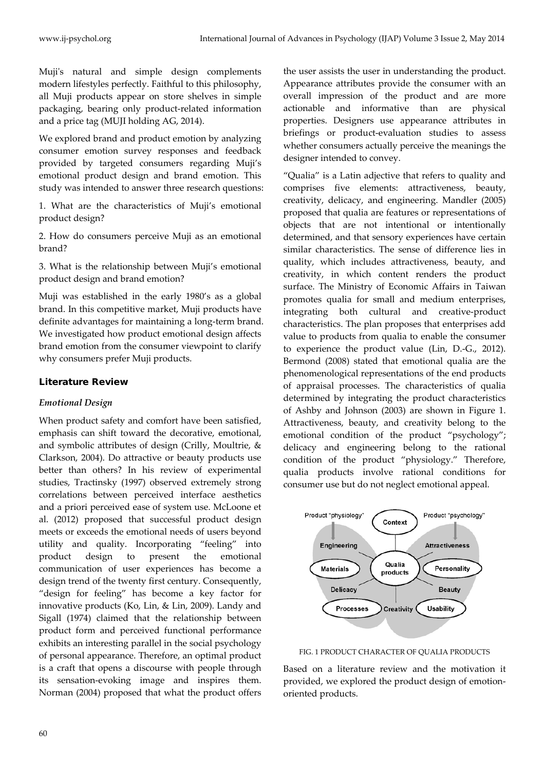Muji's natural and simple design complements modern lifestyles perfectly. Faithful to this philosophy, all Muji products appear on store shelves in simple packaging, bearing only product-related information and a price tag (MUJI holding AG, 2014).

We explored brand and product emotion by analyzing consumer emotion survey responses and feedback provided by targeted consumers regarding Muji's emotional product design and brand emotion. This study was intended to answer three research questions:

1. What are the characteristics of Muji's emotional product design?

2. How do consumers perceive Muji as an emotional brand?

3. What is the relationship between Muji's emotional product design and brand emotion?

Muji was established in the early 1980's as a global brand. In this competitive market, Muji products have definite advantages for maintaining a long-term brand. We investigated how product emotional design affects brand emotion from the consumer viewpoint to clarify why consumers prefer Muji products.

# Literature Review

## *Emotional Design*

When product safety and comfort have been satisfied, emphasis can shift toward the decorative, emotional, and symbolic attributes of design (Crilly, Moultrie, & Clarkson, 2004). Do attractive or beauty products use better than others? In his review of experimental studies, Tractinsky (1997) observed extremely strong correlations between perceived interface aesthetics and a priori perceived ease of system use. McLoone et al. (2012) proposed that successful product design meets or exceeds the emotional needs of users beyond utility and quality. Incorporating "feeling" into product design to present the emotional communication of user experiences has become a design trend of the twenty first century. Consequently, "design for feeling" has become a key factor for innovative products (Ko, Lin, & Lin, 2009). Landy and Sigall (1974) claimed that the relationship between product form and perceived functional performance exhibits an interesting parallel in the social psychology of personal appearance. Therefore, an optimal product is a craft that opens a discourse with people through its sensation-evoking image and inspires them. Norman (2004) proposed that what the product offers the user assists the user in understanding the product. Appearance attributes provide the consumer with an overall impression of the product and are more actionable and informative than are physical properties. Designers use appearance attributes in briefings or product-evaluation studies to assess whether consumers actually perceive the meanings the designer intended to convey.

"Qualia" is a Latin adjective that refers to quality and comprises five elements: attractiveness, beauty, creativity, delicacy, and engineering. Mandler (2005) proposed that qualia are features or representations of objects that are not intentional or intentionally determined, and that sensory experiences have certain similar characteristics. The sense of difference lies in quality, which includes attractiveness, beauty, and creativity, in which content renders the product surface. The Ministry of Economic Affairs in Taiwan promotes qualia for small and medium enterprises, integrating both cultural and creative-product characteristics. The plan proposes that enterprises add value to products from qualia to enable the consumer to experience the product value (Lin, D.-G., 2012). Bermond (2008) stated that emotional qualia are the phenomenological representations of the end products of appraisal processes. The characteristics of qualia determined by integrating the product characteristics of Ashby and Johnson (2003) are shown in Figure 1. Attractiveness, beauty, and creativity belong to the emotional condition of the product "psychology"; delicacy and engineering belong to the rational condition of the product "physiology." Therefore, qualia products involve rational conditions for consumer use but do not neglect emotional appeal.



FIG. 1 PRODUCT CHARACTER OF QUALIA PRODUCTS

Based on a literature review and the motivation it provided, we explored the product design of emotionoriented products.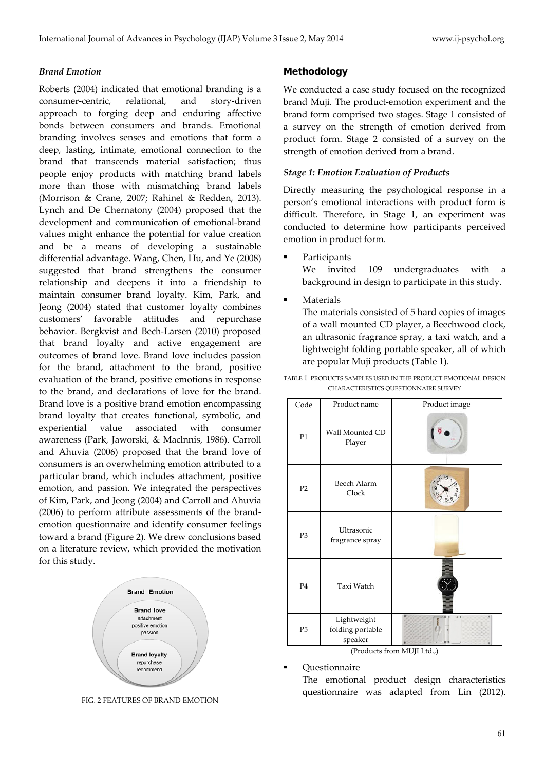#### *Brand Emotion*

Roberts (2004) indicated that emotional branding is a consumer-centric, relational, and story-driven approach to forging deep and enduring affective bonds between consumers and brands. Emotional branding involves senses and emotions that form a deep, lasting, intimate, emotional connection to the brand that transcends material satisfaction; thus people enjoy products with matching brand labels more than those with mismatching brand labels (Morrison & Crane, 2007; Rahinel & Redden, 2013). Lynch and De Chernatony (2004) proposed that the development and communication of emotional-brand values might enhance the potential for value creation and be a means of developing a sustainable differential advantage. Wang, Chen, Hu, and Ye (2008) suggested that brand strengthens the consumer relationship and deepens it into a friendship to maintain consumer brand loyalty. Kim, Park, and Jeong (2004) stated that customer loyalty combines customers' favorable attitudes and repurchase behavior. Bergkvist and Bech-Larsen (2010) proposed that brand loyalty and active engagement are outcomes of brand love. Brand love includes passion for the brand, attachment to the brand, positive evaluation of the brand, positive emotions in response to the brand, and declarations of love for the brand. Brand love is a positive brand emotion encompassing brand loyalty that creates functional, symbolic, and experiential value associated with consumer awareness (Park, Jaworski, & Maclnnis, 1986). Carroll and Ahuvia (2006) proposed that the brand love of consumers is an overwhelming emotion attributed to a particular brand, which includes attachment, positive emotion, and passion. We integrated the perspectives of Kim, Park, and Jeong (2004) and Carroll and Ahuvia (2006) to perform attribute assessments of the brandemotion questionnaire and identify consumer feelings toward a brand (Figure 2). We drew conclusions based on a literature review, which provided the motivation for this study.



FIG. 2 FEATURES OF BRAND EMOTION

#### Methodology

We conducted a case study focused on the recognized brand Muji. The product-emotion experiment and the brand form comprised two stages. Stage 1 consisted of a survey on the strength of emotion derived from product form. Stage 2 consisted of a survey on the strength of emotion derived from a brand.

#### *Stage 1: Emotion Evaluation of Products*

Directly measuring the psychological response in a person's emotional interactions with product form is difficult. Therefore, in Stage 1, an experiment was conducted to determine how participants perceived emotion in product form.

Participants

We invited 109 undergraduates with a background in design to participate in this study.

Materials

The materials consisted of 5 hard copies of images of a wall mounted CD player, a Beechwood clock, an ultrasonic fragrance spray, a taxi watch, and a lightweight folding portable speaker, all of which are popular Muji products (Table 1).

TABLE 1 PRODUCTS SAMPLES USED IN THE PRODUCT EMOTIONAL DESIGN CHARACTERISTICS QUESTIONNAIRE SURVEY

| Code           | Product name                               | Product image |
|----------------|--------------------------------------------|---------------|
| P1             | Wall Mounted CD<br>Player                  |               |
| P2             | Beech Alarm<br>Clock                       |               |
| P <sub>3</sub> | Ultrasonic<br>fragrance spray              |               |
| P <sub>4</sub> | Taxi Watch                                 |               |
| P <sub>5</sub> | Lightweight<br>folding portable<br>speaker |               |

(Products from MUJI Ltd.,)

Questionnaire

The emotional product design characteristics questionnaire was adapted from Lin (2012).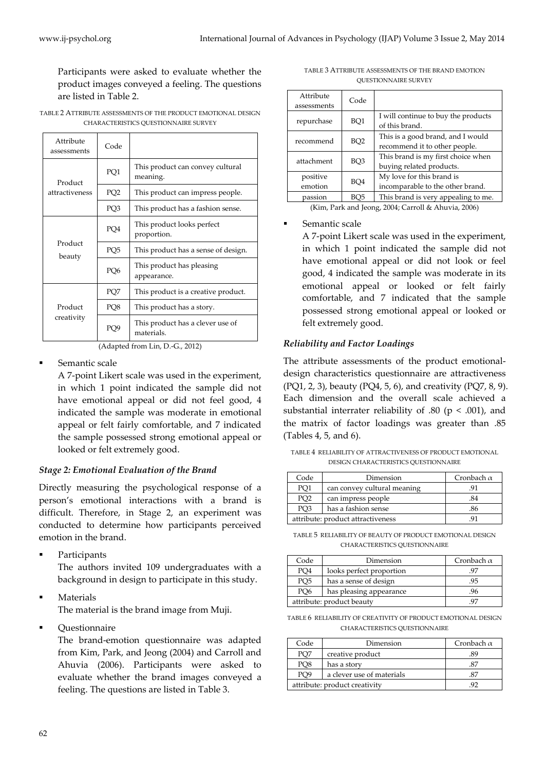Participants were asked to evaluate whether the product images conveyed a feeling. The questions are listed in Table 2.

TABLE 2 ATTRIBUTE ASSESSMENTS OF THE PRODUCT EMOTIONAL DESIGN CHARACTERISTICS QUESTIONNAIRE SURVEY

| Attribute<br>assessments | Code            |                                                |
|--------------------------|-----------------|------------------------------------------------|
| Product                  | PQ1             | This product can convey cultural<br>meaning.   |
| attractiveness           | PQ <sub>2</sub> | This product can impress people.               |
|                          | PQ3             | This product has a fashion sense.              |
|                          | PO <sub>4</sub> | This product looks perfect<br>proportion.      |
| Product<br>beauty        | PQ <sub>5</sub> | This product has a sense of design.            |
|                          | PQ <sub>6</sub> | This product has pleasing<br>appearance.       |
|                          | PQ7             | This product is a creative product.            |
| Product<br>creativity    | PQ8             | This product has a story.                      |
|                          | PO <sub>9</sub> | This product has a clever use of<br>materials. |

(Adapted from Lin, D.-G., 2012)

Semantic scale

A 7-point Likert scale was used in the experiment, in which 1 point indicated the sample did not have emotional appeal or did not feel good, 4 indicated the sample was moderate in emotional appeal or felt fairly comfortable, and 7 indicated the sample possessed strong emotional appeal or looked or felt extremely good.

## *Stage 2: Emotional Evaluation of the Brand*

Directly measuring the psychological response of a person's emotional interactions with a brand is difficult. Therefore, in Stage 2, an experiment was conducted to determine how participants perceived emotion in the brand.

Participants

The authors invited 109 undergraduates with a background in design to participate in this study.

Materials

The material is the brand image from Muji.

Questionnaire

The brand-emotion questionnaire was adapted from Kim, Park, and Jeong (2004) and Carroll and Ahuvia (2006). Participants were asked to evaluate whether the brand images conveyed a feeling. The questions are listed in Table 3.

TABLE 3 ATTRIBUTE ASSESSMENTS OF THE BRAND EMOTION QUESTIONNAIRE SURVEY

| Attribute<br>assessments                            | Code            |                                                                    |  |  |
|-----------------------------------------------------|-----------------|--------------------------------------------------------------------|--|--|
| repurchase                                          | BQ1             | I will continue to buy the products<br>of this brand.              |  |  |
| recommend                                           | BQ <sub>2</sub> | This is a good brand, and I would<br>recommend it to other people. |  |  |
| attachment                                          | BQ3             | This brand is my first choice when<br>buying related products.     |  |  |
| positive<br>BO4<br>emotion                          |                 | My love for this brand is<br>incomparable to the other brand.      |  |  |
| passion                                             | BO <sub>5</sub> | This brand is very appealing to me.                                |  |  |
| (Kim, Park and Jeong, 2004; Carroll & Ahuvia, 2006) |                 |                                                                    |  |  |

## Semantic scale

A 7-point Likert scale was used in the experiment, in which 1 point indicated the sample did not have emotional appeal or did not look or feel good, 4 indicated the sample was moderate in its emotional appeal or looked or felt fairly comfortable, and 7 indicated that the sample possessed strong emotional appeal or looked or felt extremely good.

# *Reliability and Factor Loadings*

The attribute assessments of the product emotionaldesign characteristics questionnaire are attractiveness (PQ1, 2, 3), beauty (PQ4, 5, 6), and creativity (PQ7, 8, 9). Each dimension and the overall scale achieved a substantial interrater reliability of .80 ( $p < .001$ ), and the matrix of factor loadings was greater than .85 (Tables 4, 5, and 6).

TABLE 4 RELIABILITY OF ATTRACTIVENESS OF PRODUCT EMOTIONAL DESIGN CHARACTERISTICS QUESTIONNAIRE

| Code            | Dimension                         | Cronbach $\alpha$ |
|-----------------|-----------------------------------|-------------------|
| PO1             | can convey cultural meaning       | 91                |
| PO <sub>2</sub> | can impress people                | .84               |
| PO3             | has a fashion sense               |                   |
|                 | attribute: product attractiveness |                   |

TABLE 5 RELIABILITY OF BEAUTY OF PRODUCT EMOTIONAL DESIGN CHARACTERISTICS QUESTIONNAIRE

| Code | Dimension                 | Cronbach $\alpha$ |  |  |
|------|---------------------------|-------------------|--|--|
| PO4  | looks perfect proportion  | 97                |  |  |
| PO5  | has a sense of design     | .95               |  |  |
| PO6  | has pleasing appearance   | 96                |  |  |
|      | attribute: product beauty |                   |  |  |

TABLE 6 RELIABILITY OF CREATIVITY OF PRODUCT EMOTIONAL DESIGN CHARACTERISTICS QUESTIONNAIRE

| Code | Dimension                     | Cronbach $\alpha$ |  |  |
|------|-------------------------------|-------------------|--|--|
| PO7  | creative product              | 89                |  |  |
| PO8  | has a story                   |                   |  |  |
| PO9  | a clever use of materials     |                   |  |  |
|      | attribute: product creativity |                   |  |  |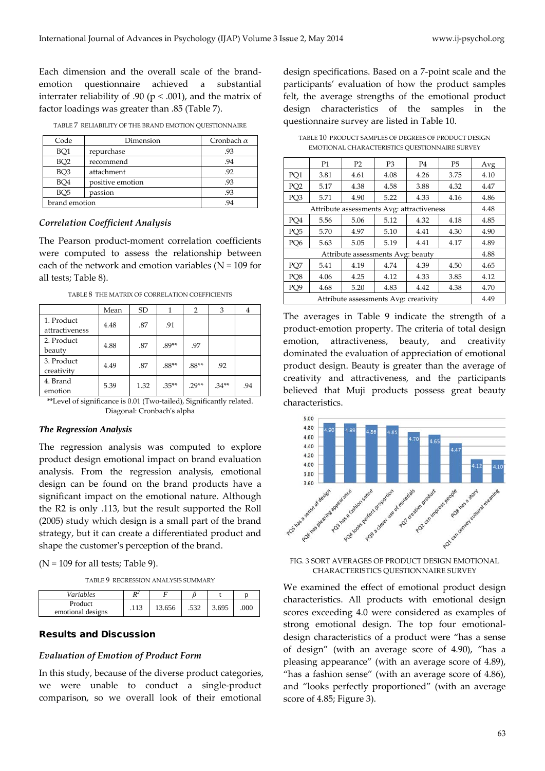Each dimension and the overall scale of the brandemotion questionnaire achieved a substantial interrater reliability of .90 ( $p < .001$ ), and the matrix of factor loadings was greater than .85 (Table 7).

| Code            | Dimension        | Cronbach $\alpha$ |
|-----------------|------------------|-------------------|
| BQ1             | repurchase       | .93               |
| BO <sub>2</sub> | recommend        | .94               |
| BQ3             | attachment       | .92               |
| BQ4             | positive emotion | .93               |
| BO <sub>5</sub> | passion          | .93               |
| brand emotion   | 94               |                   |

TABLE 7 RELIABILITY OF THE BRAND EMOTION QUESTIONNAIRE

#### *Correlation Coefficient Analysis*

The Pearson product-moment correlation coefficients were computed to assess the relationship between each of the network and emotion variables ( $N = 109$  for all tests; Table 8).

| Mean | <b>SD</b> | 1        | $\overline{2}$ | 3       | 4   |
|------|-----------|----------|----------------|---------|-----|
| 4.48 | .87       | .91      |                |         |     |
| 4.88 | .87       | $.89**$  | .97            |         |     |
| 4.49 | .87       | $.88**$  | $.88**$        | .92     |     |
| 5.39 | 1.32      | $.35***$ | $79**$         | $.34**$ | .94 |
|      |           |          |                |         |     |

TABLE 8 THE MATRIX OF CORRELATION COEFFICIENTS

\*\*Level of significance is 0.01 (Two-tailed), Significantly related. Diagonal: Cronbach's alpha

#### *The Regression Analysis*

The regression analysis was computed to explore product design emotional impact on brand evaluation analysis. From the regression analysis, emotional design can be found on the brand products have a significant impact on the emotional nature. Although the R2 is only .113, but the result supported the Roll (2005) study which design is a small part of the brand strategy, but it can create a differentiated product and shape the customer's perception of the brand.

 $(N = 109$  for all tests; Table 9).

TABLE 9 REGRESSION ANALYSIS SUMMARY

| Variables                    | n.   |        |      |       |      |
|------------------------------|------|--------|------|-------|------|
| Product<br>emotional designs | .113 | 13.656 | .532 | 3.695 | .000 |

#### Results and Discussion

#### *Evaluation of Emotion of Product Form*

In this study, because of the diverse product categories, we were unable to conduct a single-product comparison, so we overall look of their emotional

design specifications. Based on a 7-point scale and the participants' evaluation of how the product samples felt, the average strengths of the emotional product design characteristics of the samples in the questionnaire survey are listed in Table 10.

TABLE 10 PRODUCT SAMPLES OF DEGREES OF PRODUCT DESIGN EMOTIONAL CHARACTERISTICS QUESTIONNAIRE SURVEY

|                                   | P1   | P2                                        | P <sub>3</sub> | P <sub>4</sub> | P <sub>5</sub> | Avg  |
|-----------------------------------|------|-------------------------------------------|----------------|----------------|----------------|------|
| PO <sub>1</sub>                   | 3.81 | 4.61                                      | 4.08           | 4.26           | 3.75           | 4.10 |
| PQ <sub>2</sub>                   | 5.17 | 4.38                                      | 4.58           | 3.88           | 4.32           | 4.47 |
| PQ3                               | 5.71 | 4.90                                      | 5.22           | 4.33           | 4.16           | 4.86 |
|                                   |      | Attribute assessments Avg: attractiveness |                |                |                | 4.48 |
| PO <sub>4</sub>                   | 5.56 | 5.06                                      | 5.12           | 4.32           | 4.18           | 4.85 |
| PQ <sub>5</sub>                   | 5.70 | 4.97                                      | 5.10           | 4.41           | 4.30           | 4.90 |
| PO <sub>6</sub>                   | 5.63 | 5.05                                      | 5.19           | 4.41           | 4.17           | 4.89 |
| Attribute assessments Avg: beauty |      |                                           |                |                |                | 4.88 |
| PQ7                               | 5.41 | 4.19                                      | 4.74           | 4.39           | 4.50           | 4.65 |
| PQ8                               | 4.06 | 4.25                                      | 4.12           | 4.33           | 3.85           | 4.12 |
| PO <sub>9</sub>                   | 4.68 | 5.20                                      | 4.83           | 4.42           | 4.38           | 4.70 |
|                                   | 4.49 |                                           |                |                |                |      |

The averages in Table 9 indicate the strength of a product-emotion property. The criteria of total design emotion, attractiveness, beauty, and creativity dominated the evaluation of appreciation of emotional product design. Beauty is greater than the average of creativity and attractiveness, and the participants believed that Muji products possess great beauty characteristics.



#### FIG. 3 SORT AVERAGES OF PRODUCT DESIGN EMOTIONAL CHARACTERISTICS QUESTIONNAIRE SURVEY

We examined the effect of emotional product design characteristics. All products with emotional design scores exceeding 4.0 were considered as examples of strong emotional design. The top four emotionaldesign characteristics of a product were "has a sense of design" (with an average score of 4.90), "has a pleasing appearance" (with an average score of 4.89), "has a fashion sense" (with an average score of 4.86), and "looks perfectly proportioned" (with an average score of 4.85; Figure 3).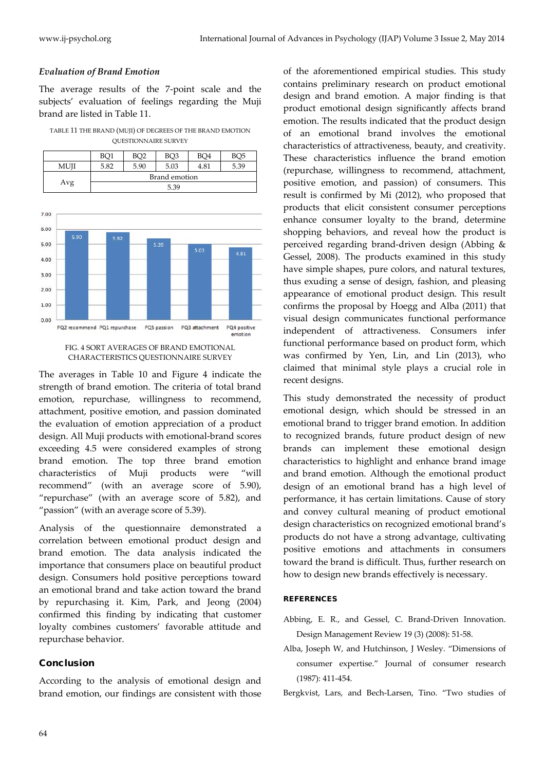# *Evaluation of Brand Emotion*

The average results of the 7-point scale and the subjects' evaluation of feelings regarding the Muji brand are listed in Table 11.

TABLE 11 THE BRAND (MUJI) OF DEGREES OF THE BRAND EMOTION QUESTIONNAIRE SURVEY

|      | BQ1           | BO <sub>2</sub> | BQ3  | BO <sub>4</sub> | BO <sub>5</sub> |  |  |
|------|---------------|-----------------|------|-----------------|-----------------|--|--|
| MUJI | 5.82          | 5.90            | 5.03 | 4.81            | 5.39            |  |  |
|      | Brand emotion |                 |      |                 |                 |  |  |
| Avg  |               | 5.39            |      |                 |                 |  |  |





The averages in Table 10 and Figure 4 indicate the strength of brand emotion. The criteria of total brand emotion, repurchase, willingness to recommend, attachment, positive emotion, and passion dominated the evaluation of emotion appreciation of a product design. All Muji products with emotional-brand scores exceeding 4.5 were considered examples of strong brand emotion. The top three brand emotion characteristics of Muji products were "will recommend" (with an average score of 5.90), "repurchase" (with an average score of 5.82), and "passion" (with an average score of 5.39).

Analysis of the questionnaire demonstrated a correlation between emotional product design and brand emotion. The data analysis indicated the importance that consumers place on beautiful product design. Consumers hold positive perceptions toward an emotional brand and take action toward the brand by repurchasing it. Kim, Park, and Jeong (2004) confirmed this finding by indicating that customer loyalty combines customers' favorable attitude and repurchase behavior.

# Conclusion

According to the analysis of emotional design and brand emotion, our findings are consistent with those

of the aforementioned empirical studies. This study contains preliminary research on product emotional design and brand emotion. A major finding is that product emotional design significantly affects brand emotion. The results indicated that the product design of an emotional brand involves the emotional characteristics of attractiveness, beauty, and creativity. These characteristics influence the brand emotion (repurchase, willingness to recommend, attachment, positive emotion, and passion) of consumers. This result is confirmed by Mi (2012), who proposed that products that elicit consistent consumer perceptions enhance consumer loyalty to the brand, determine shopping behaviors, and reveal how the product is perceived regarding brand-driven design (Abbing & Gessel, 2008). The products examined in this study have simple shapes, pure colors, and natural textures, thus exuding a sense of design, fashion, and pleasing appearance of emotional product design. This result confirms the proposal by Hoegg and Alba (2011) that visual design communicates functional performance independent of attractiveness. Consumers infer functional performance based on product form, which was confirmed by Yen, Lin, and Lin (2013), who claimed that minimal style plays a crucial role in recent designs.

This study demonstrated the necessity of product emotional design, which should be stressed in an emotional brand to trigger brand emotion. In addition to recognized brands, future product design of new brands can implement these emotional design characteristics to highlight and enhance brand image and brand emotion. Although the emotional product design of an emotional brand has a high level of performance, it has certain limitations. Cause of story and convey cultural meaning of product emotional design characteristics on recognized emotional brand's products do not have a strong advantage, cultivating positive emotions and attachments in consumers toward the brand is difficult. Thus, further research on how to design new brands effectively is necessary.

## **REFERENCES**

- Abbing, E. R., and Gessel, C. Brand-Driven Innovation. Design Management Review 19 (3) (2008): 51-58.
- Alba, Joseph W, and Hutchinson, J Wesley. "Dimensions of consumer expertise." Journal of consumer research (1987): 411-454.
- Bergkvist, Lars, and Bech-Larsen, Tino. "Two studies of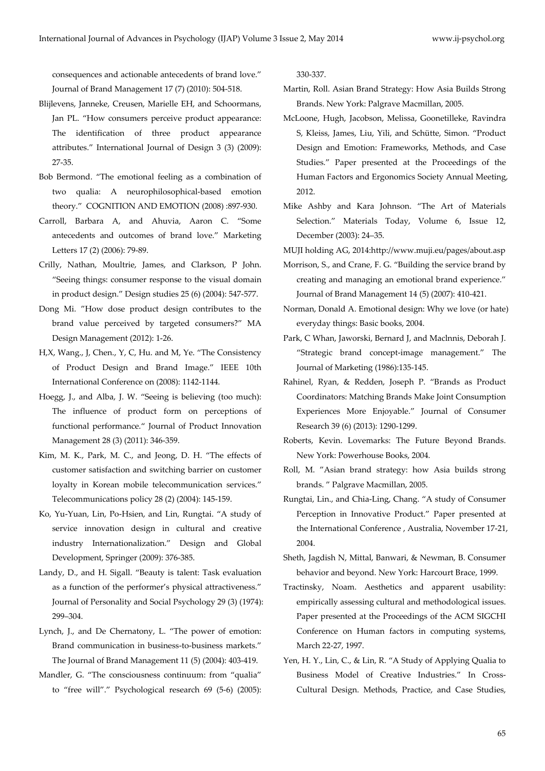consequences and actionable antecedents of brand love." Journal of Brand Management 17 (7) (2010): 504-518.

- Blijlevens, Janneke, Creusen, Marielle EH, and Schoormans, Jan PL. "How consumers perceive product appearance: The identification of three product appearance attributes." International Journal of Design 3 (3) (2009): 27-35.
- Bob Bermond. "The emotional feeling as a combination of two qualia: A neurophilosophical-based emotion theory." COGNITION AND EMOTION (2008) :897-930.
- Carroll, Barbara A, and Ahuvia, Aaron C. "Some antecedents and outcomes of brand love." Marketing Letters 17 (2) (2006): 79-89.
- Crilly, Nathan, Moultrie, James, and Clarkson, P John. "Seeing things: consumer response to the visual domain in product design." Design studies 25 (6) (2004): 547-577.
- Dong Mi. "How dose product design contributes to the brand value perceived by targeted consumers?" MA Design Management (2012): 1-26.
- H,X, Wang., J, Chen., Y, C, Hu. and M, Ye. "The Consistency of Product Design and Brand Image." IEEE 10th International Conference on (2008): 1142-1144.
- Hoegg, J., and Alba, J. W. "Seeing is believing (too much): The influence of product form on perceptions of functional performance." Journal of Product Innovation Management 28 (3) (2011): 346-359.
- Kim, M. K., Park, M. C., and Jeong, D. H. "The effects of customer satisfaction and switching barrier on customer loyalty in Korean mobile telecommunication services." Telecommunications policy 28 (2) (2004): 145-159.
- Ko, Yu-Yuan, Lin, Po-Hsien, and Lin, Rungtai. "A study of service innovation design in cultural and creative industry Internationalization." Design and Global Development, Springer (2009): 376-385.
- Landy, D., and H. Sigall. "Beauty is talent: Task evaluation as a function of the performer's physical attractiveness." Journal of Personality and Social Psychology 29 (3) (1974): 299–304.
- Lynch, J., and De Chernatony, L. "The power of emotion: Brand communication in business-to-business markets." The Journal of Brand Management 11 (5) (2004): 403-419.
- Mandler, G. "The consciousness continuum: from "qualia" to "free will"." Psychological research 69 (5-6) (2005):

330-337.

- Martin, Roll. Asian Brand Strategy: How Asia Builds Strong Brands. New York: Palgrave Macmillan, 2005.
- McLoone, Hugh, Jacobson, Melissa, Goonetilleke, Ravindra S, Kleiss, James, Liu, Yili, and Schütte, Simon. "Product Design and Emotion: Frameworks, Methods, and Case Studies." Paper presented at the Proceedings of the Human Factors and Ergonomics Society Annual Meeting, 2012.
- Mike Ashby and Kara Johnson. "The Art of Materials Selection." Materials Today, Volume 6, Issue 12, December (2003): 24–35.

MUJI holding AG, 2014:http://www.muji.eu/pages/about.asp

- Morrison, S., and Crane, F. G. "Building the service brand by creating and managing an emotional brand experience." Journal of Brand Management 14 (5) (2007): 410-421.
- Norman, Donald A. Emotional design: Why we love (or hate) everyday things: Basic books, 2004.
- Park, C Whan, Jaworski, Bernard J, and Maclnnis, Deborah J. "Strategic brand concept-image management." The Journal of Marketing (1986):135-145.
- Rahinel, Ryan, & Redden, Joseph P. "Brands as Product Coordinators: Matching Brands Make Joint Consumption Experiences More Enjoyable." Journal of Consumer Research 39 (6) (2013): 1290-1299.
- Roberts, Kevin. Lovemarks: The Future Beyond Brands. New York: Powerhouse Books, 2004.
- Roll, M. "Asian brand strategy: how Asia builds strong brands. " Palgrave Macmillan, 2005.
- Rungtai, Lin., and Chia-Ling, Chang. "A study of Consumer Perception in Innovative Product." Paper presented at the International Conference , Australia, November 17-21, 2004.
- Sheth, Jagdish N, Mittal, Banwari, & Newman, B. Consumer behavior and beyond. New York: Harcourt Brace, 1999.
- Tractinsky, Noam. Aesthetics and apparent usability: empirically assessing cultural and methodological issues. Paper presented at the Proceedings of the ACM SIGCHI Conference on Human factors in computing systems, March 22-27, 1997.
- Yen, H. Y., Lin, C., & Lin, R. "A Study of Applying Qualia to Business Model of Creative Industries." In Cross-Cultural Design. Methods, Practice, and Case Studies,